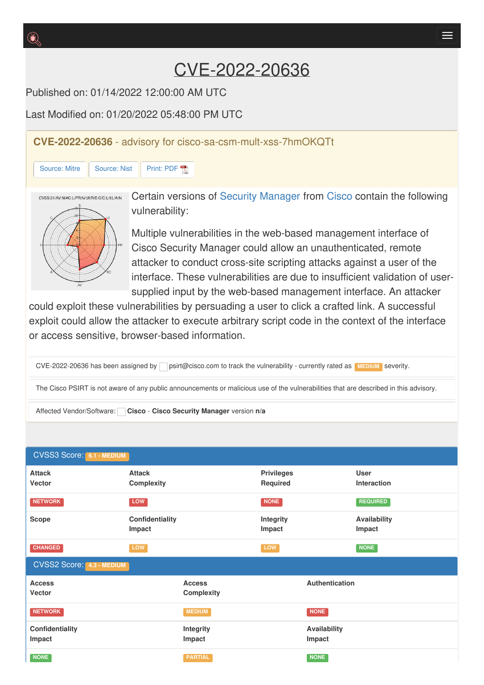# CVE-2022-20636

Published on: 01/14/2022 12:00:00 AM UTC

Last Modified on: 01/20/2022 05:48:00 PM LITC

**CVE-2022-20636** - advisory for cisco-sa-csm-mult-xss-7hmOKQTt

## [Source:](https://cve.report/CVE-2022-20636/nist) Mitre Source: Nist [Print:](https://cve.report/CVE-2022-20636.pdf) PDF



Certain versions of Security [Manager](http://cve.report/software/cisco/security_manager) from [Cisco](http://cve.report/vendor/cisco) contain the following vulnerability:

Multiple vulnerabilities in the web-based management interface of Cisco Security Manager could allow an unauthenticated, remote attacker to conduct cross-site scripting attacks against a user of the interface. These vulnerabilities are due to insufficient validation of usersupplied input by the web-based management interface. An attacker

could exploit these vulnerabilities by persuading a user to click a crafted link. A successful exploit could allow the attacker to execute arbitrary script code in the context of the interface or access sensitive, browser-based information.

CVE-2022-20636 has been assigned by psirt@cisco.com to track the vulnerability - currently rated as **MEDIUM** severity.

The Cisco PSIRT is not aware of any public announcements or malicious use of the vulnerabilities that are described in this advisory.

Affected Vendor/Software: **Cisco** - **Cisco Security Manager** version **n/a**

| <b>CVSS3 Score: 6.1 - MEDIUM</b> |                                    |                     |                               |                        |                                   |  |  |  |  |
|----------------------------------|------------------------------------|---------------------|-------------------------------|------------------------|-----------------------------------|--|--|--|--|
| <b>Attack</b><br>Vector          | <b>Attack</b><br><b>Complexity</b> |                     | <b>Privileges</b><br>Required |                        | <b>User</b><br><b>Interaction</b> |  |  |  |  |
| <b>NETWORK</b>                   | <b>LOW</b>                         |                     | NONE                          |                        | <b>REQUIRED</b>                   |  |  |  |  |
| <b>Scope</b>                     | Confidentiality<br>Impact          |                     | Integrity<br>Impact           |                        | <b>Availability</b><br>Impact     |  |  |  |  |
| <b>CHANGED</b>                   | LOW                                |                     | LOW                           |                        | NONE                              |  |  |  |  |
| <b>CVSS2 Score: 4.3 - MEDIUM</b> |                                    |                     |                               |                        |                                   |  |  |  |  |
| <b>Access</b><br><b>Vector</b>   | <b>Access</b><br>Complexity        |                     | Authentication                |                        |                                   |  |  |  |  |
| <b>NETWORK</b>                   |                                    | <b>MEDIUM</b>       |                               | NONE                   |                                   |  |  |  |  |
| Confidentiality<br>Impact        |                                    | Integrity<br>Impact |                               | Availability<br>Impact |                                   |  |  |  |  |
| <b>NONE</b>                      |                                    | <b>PARTIAL</b>      |                               | <b>NONE</b>            |                                   |  |  |  |  |